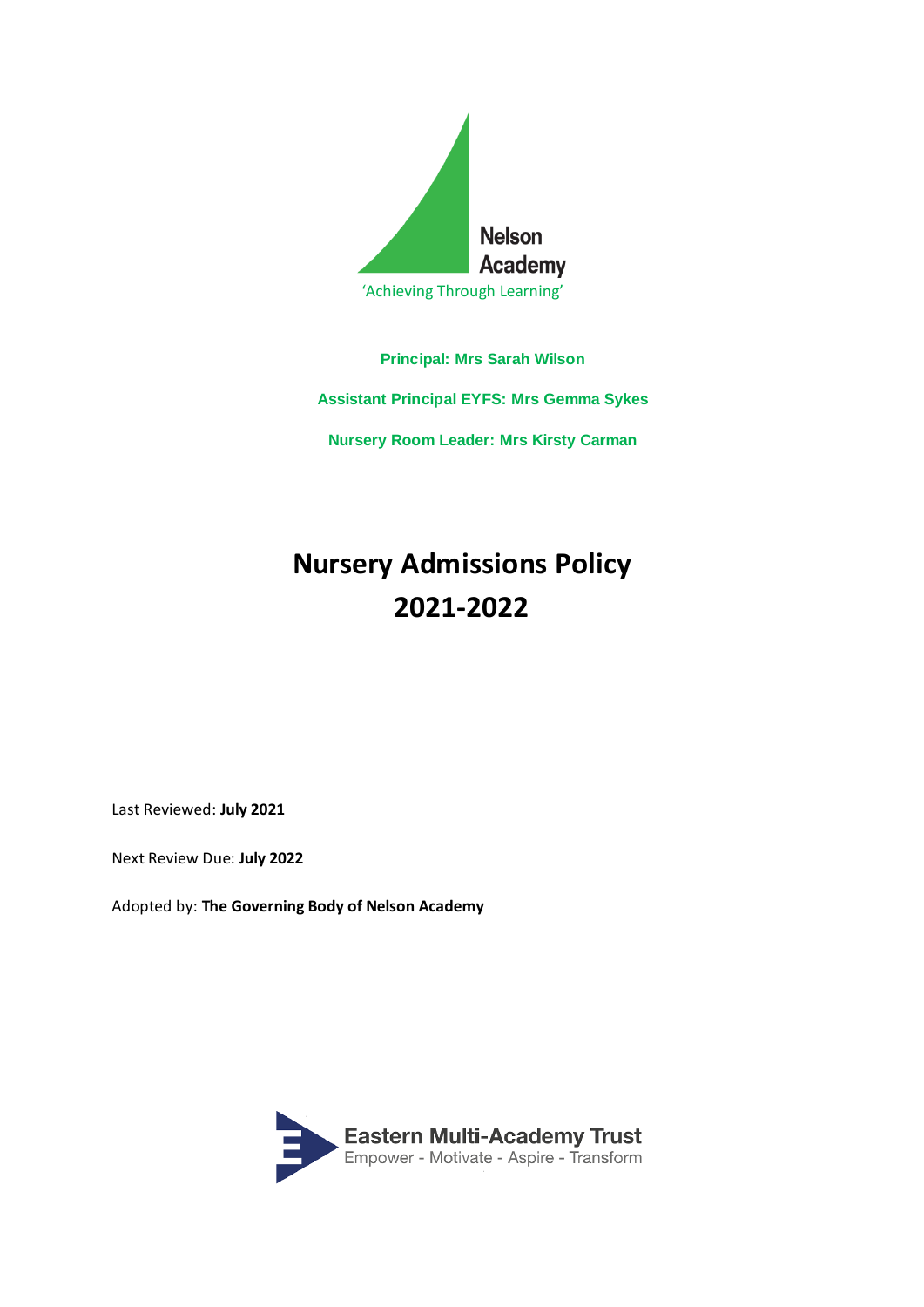

**Principal: Mrs Sarah Wilson**

**Assistant Principal EYFS: Mrs Gemma Sykes**

**Nursery Room Leader: Mrs Kirsty Carman**

## **Nursery Admissions Policy 2021-2022**

Last Reviewed: **July 2021**

Next Review Due: **July 2022**

Adopted by: **The Governing Body of Nelson Academy**